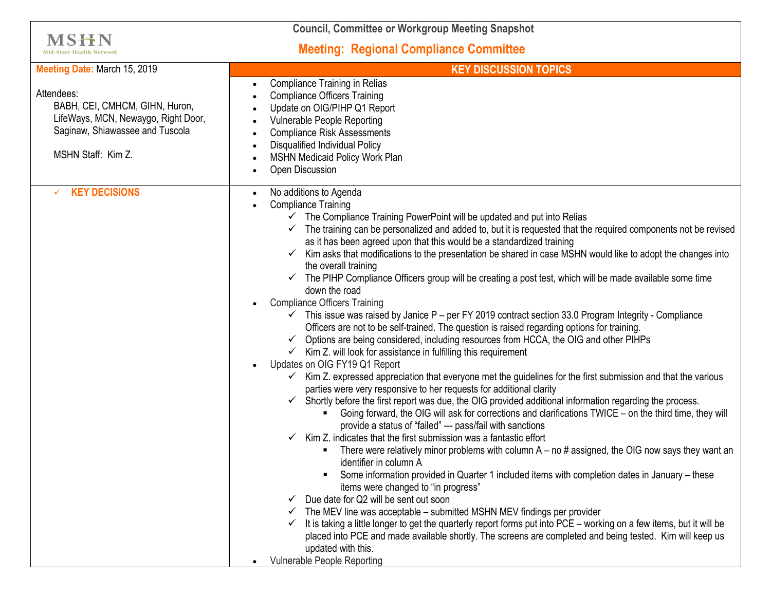| <b>Council, Committee or Workgroup Meeting Snapshot</b>                                                                                      |                                                                                                                                                                                                                                                                                                                                                                                                                                                                                                                                                                                                                                                                                                                                                                                                                                                                                                                                                                                                                                                                                                                                                                                                                                                                                                                                                                                                                                                                                                                                                                                                                                                                                                                                                                                                                                                                                                                                                                                                                                                                                                                                                                                                                                                                                                                                                                                           |
|----------------------------------------------------------------------------------------------------------------------------------------------|-------------------------------------------------------------------------------------------------------------------------------------------------------------------------------------------------------------------------------------------------------------------------------------------------------------------------------------------------------------------------------------------------------------------------------------------------------------------------------------------------------------------------------------------------------------------------------------------------------------------------------------------------------------------------------------------------------------------------------------------------------------------------------------------------------------------------------------------------------------------------------------------------------------------------------------------------------------------------------------------------------------------------------------------------------------------------------------------------------------------------------------------------------------------------------------------------------------------------------------------------------------------------------------------------------------------------------------------------------------------------------------------------------------------------------------------------------------------------------------------------------------------------------------------------------------------------------------------------------------------------------------------------------------------------------------------------------------------------------------------------------------------------------------------------------------------------------------------------------------------------------------------------------------------------------------------------------------------------------------------------------------------------------------------------------------------------------------------------------------------------------------------------------------------------------------------------------------------------------------------------------------------------------------------------------------------------------------------------------------------------------------------|
| <b>MSHN</b><br><b>Mid-State Health Network</b>                                                                                               | <b>Meeting: Regional Compliance Committee</b>                                                                                                                                                                                                                                                                                                                                                                                                                                                                                                                                                                                                                                                                                                                                                                                                                                                                                                                                                                                                                                                                                                                                                                                                                                                                                                                                                                                                                                                                                                                                                                                                                                                                                                                                                                                                                                                                                                                                                                                                                                                                                                                                                                                                                                                                                                                                             |
| Meeting Date: March 15, 2019                                                                                                                 | <b>KEY DISCUSSION TOPICS</b>                                                                                                                                                                                                                                                                                                                                                                                                                                                                                                                                                                                                                                                                                                                                                                                                                                                                                                                                                                                                                                                                                                                                                                                                                                                                                                                                                                                                                                                                                                                                                                                                                                                                                                                                                                                                                                                                                                                                                                                                                                                                                                                                                                                                                                                                                                                                                              |
| Attendees:<br>BABH, CEI, CMHCM, GIHN, Huron,<br>LifeWays, MCN, Newaygo, Right Door,<br>Saginaw, Shiawassee and Tuscola<br>MSHN Staff: Kim Z. | <b>Compliance Training in Relias</b><br><b>Compliance Officers Training</b><br>Update on OIG/PIHP Q1 Report<br>Vulnerable People Reporting<br><b>Compliance Risk Assessments</b><br><b>Disqualified Individual Policy</b><br>MSHN Medicaid Policy Work Plan<br>Open Discussion                                                                                                                                                                                                                                                                                                                                                                                                                                                                                                                                                                                                                                                                                                                                                                                                                                                                                                                                                                                                                                                                                                                                                                                                                                                                                                                                                                                                                                                                                                                                                                                                                                                                                                                                                                                                                                                                                                                                                                                                                                                                                                            |
| <b>KEY DECISIONS</b>                                                                                                                         | No additions to Agenda<br><b>Compliance Training</b><br>$\checkmark$ The Compliance Training PowerPoint will be updated and put into Relias<br>$\checkmark$ The training can be personalized and added to, but it is requested that the required components not be revised<br>as it has been agreed upon that this would be a standardized training<br>Kim asks that modifications to the presentation be shared in case MSHN would like to adopt the changes into<br>$\checkmark$<br>the overall training<br>$\checkmark$ The PIHP Compliance Officers group will be creating a post test, which will be made available some time<br>down the road<br><b>Compliance Officers Training</b><br>$\checkmark$ This issue was raised by Janice P – per FY 2019 contract section 33.0 Program Integrity - Compliance<br>Officers are not to be self-trained. The question is raised regarding options for training.<br>Options are being considered, including resources from HCCA, the OIG and other PIHPs<br>$\checkmark$ Kim Z. will look for assistance in fulfilling this requirement<br>Updates on OIG FY19 Q1 Report<br>Kim Z. expressed appreciation that everyone met the guidelines for the first submission and that the various<br>parties were very responsive to her requests for additional clarity<br>$\checkmark$ Shortly before the first report was due, the OIG provided additional information regarding the process.<br>Going forward, the OIG will ask for corrections and clarifications TWICE – on the third time, they will<br>provide a status of "failed" --- pass/fail with sanctions<br>Kim Z. indicates that the first submission was a fantastic effort<br>There were relatively minor problems with column $A - no \#$ assigned, the OIG now says they want an<br>identifier in column A<br>Some information provided in Quarter 1 included items with completion dates in January - these<br>items were changed to "in progress"<br>Due date for Q2 will be sent out soon<br>The MEV line was acceptable - submitted MSHN MEV findings per provider<br>It is taking a little longer to get the quarterly report forms put into PCE - working on a few items, but it will be<br>$\checkmark$<br>placed into PCE and made available shortly. The screens are completed and being tested. Kim will keep us<br>updated with this.<br>Vulnerable People Reporting |